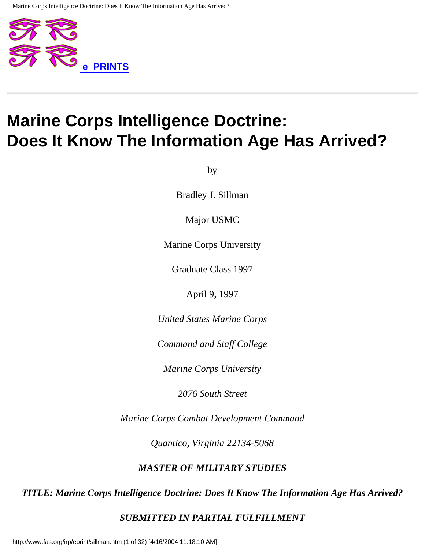

# **Marine Corps Intelligence Doctrine: Does It Know The Information Age Has Arrived?**

by

Bradley J. Sillman

Major USMC

Marine Corps University

Graduate Class 1997

April 9, 1997

*United States Marine Corps*

*Command and Staff College*

*Marine Corps University*

*2076 South Street*

*Marine Corps Combat Development Command*

*Quantico, Virginia 22134-5068*

#### *MASTER OF MILITARY STUDIES*

#### *TITLE: Marine Corps Intelligence Doctrine: Does It Know The Information Age Has Arrived?*

#### *SUBMITTED IN PARTIAL FULFILLMENT*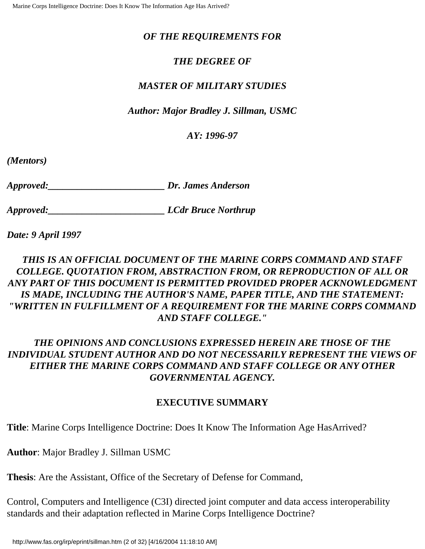#### *OF THE REQUIREMENTS FOR*

### *THE DEGREE OF*

#### *MASTER OF MILITARY STUDIES*

#### *Author: Major Bradley J. Sillman, USMC*

#### *AY: 1996-97*

*(Mentors)* 

*Approved:\_\_\_\_\_\_\_\_\_\_\_\_\_\_\_\_\_\_\_\_\_\_\_\_ Dr. James Anderson*

*Approved:\_\_\_\_\_\_\_\_\_\_\_\_\_\_\_\_\_\_\_\_\_\_\_\_ LCdr Bruce Northrup*

*Date: 9 April 1997*

# *THIS IS AN OFFICIAL DOCUMENT OF THE MARINE CORPS COMMAND AND STAFF COLLEGE. QUOTATION FROM, ABSTRACTION FROM, OR REPRODUCTION OF ALL OR ANY PART OF THIS DOCUMENT IS PERMITTED PROVIDED PROPER ACKNOWLEDGMENT IS MADE, INCLUDING THE AUTHOR'S NAME, PAPER TITLE, AND THE STATEMENT: "WRITTEN IN FULFILLMENT OF A REQUIREMENT FOR THE MARINE CORPS COMMAND AND STAFF COLLEGE."*

# *THE OPINIONS AND CONCLUSIONS EXPRESSED HEREIN ARE THOSE OF THE INDIVIDUAL STUDENT AUTHOR AND DO NOT NECESSARILY REPRESENT THE VIEWS OF EITHER THE MARINE CORPS COMMAND AND STAFF COLLEGE OR ANY OTHER GOVERNMENTAL AGENCY.*

#### **EXECUTIVE SUMMARY**

**Title**: Marine Corps Intelligence Doctrine: Does It Know The Information Age HasArrived?

**Author**: Major Bradley J. Sillman USMC

**Thesis**: Are the Assistant, Office of the Secretary of Defense for Command,

Control, Computers and Intelligence (C3I) directed joint computer and data access interoperability standards and their adaptation reflected in Marine Corps Intelligence Doctrine?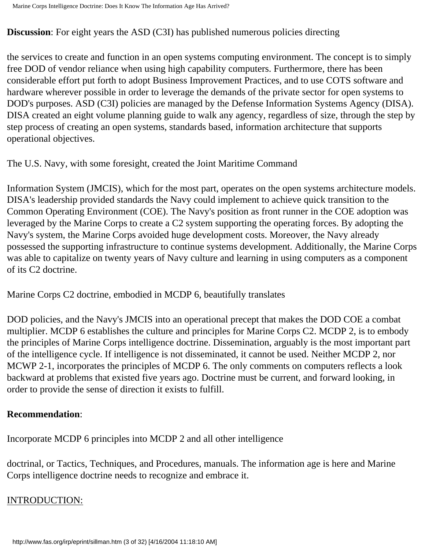**Discussion**: For eight years the ASD (C3I) has published numerous policies directing

the services to create and function in an open systems computing environment. The concept is to simply free DOD of vendor reliance when using high capability computers. Furthermore, there has been considerable effort put forth to adopt Business Improvement Practices, and to use COTS software and hardware wherever possible in order to leverage the demands of the private sector for open systems to DOD's purposes. ASD (C3I) policies are managed by the Defense Information Systems Agency (DISA). DISA created an eight volume planning guide to walk any agency, regardless of size, through the step by step process of creating an open systems, standards based, information architecture that supports operational objectives.

The U.S. Navy, with some foresight, created the Joint Maritime Command

Information System (JMCIS), which for the most part, operates on the open systems architecture models. DISA's leadership provided standards the Navy could implement to achieve quick transition to the Common Operating Environment (COE). The Navy's position as front runner in the COE adoption was leveraged by the Marine Corps to create a C2 system supporting the operating forces. By adopting the Navy's system, the Marine Corps avoided huge development costs. Moreover, the Navy already possessed the supporting infrastructure to continue systems development. Additionally, the Marine Corps was able to capitalize on twenty years of Navy culture and learning in using computers as a component of its C2 doctrine.

Marine Corps C2 doctrine, embodied in MCDP 6, beautifully translates

DOD policies, and the Navy's JMCIS into an operational precept that makes the DOD COE a combat multiplier. MCDP 6 establishes the culture and principles for Marine Corps C2. MCDP 2, is to embody the principles of Marine Corps intelligence doctrine. Dissemination, arguably is the most important part of the intelligence cycle. If intelligence is not disseminated, it cannot be used. Neither MCDP 2, nor MCWP 2-1, incorporates the principles of MCDP 6. The only comments on computers reflects a look backward at problems that existed five years ago. Doctrine must be current, and forward looking, in order to provide the sense of direction it exists to fulfill.

#### **Recommendation**:

Incorporate MCDP 6 principles into MCDP 2 and all other intelligence

doctrinal, or Tactics, Techniques, and Procedures, manuals. The information age is here and Marine Corps intelligence doctrine needs to recognize and embrace it.

# INTRODUCTION: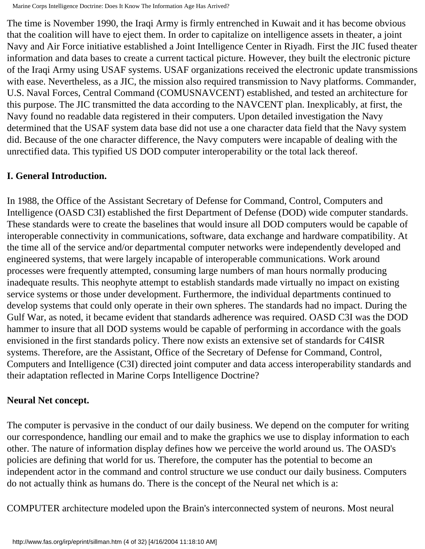The time is November 1990, the Iraqi Army is firmly entrenched in Kuwait and it has become obvious that the coalition will have to eject them. In order to capitalize on intelligence assets in theater, a joint Navy and Air Force initiative established a Joint Intelligence Center in Riyadh. First the JIC fused theater information and data bases to create a current tactical picture. However, they built the electronic picture of the Iraqi Army using USAF systems. USAF organizations received the electronic update transmissions with ease. Nevertheless, as a JIC, the mission also required transmission to Navy platforms. Commander, U.S. Naval Forces, Central Command (COMUSNAVCENT) established, and tested an architecture for this purpose. The JIC transmitted the data according to the NAVCENT plan. Inexplicably, at first, the Navy found no readable data registered in their computers. Upon detailed investigation the Navy determined that the USAF system data base did not use a one character data field that the Navy system did. Because of the one character difference, the Navy computers were incapable of dealing with the unrectified data. This typified US DOD computer interoperability or the total lack thereof.

# **I. General Introduction.**

In 1988, the Office of the Assistant Secretary of Defense for Command, Control, Computers and Intelligence (OASD C3I) established the first Department of Defense (DOD) wide computer standards. These standards were to create the baselines that would insure all DOD computers would be capable of interoperable connectivity in communications, software, data exchange and hardware compatibility. At the time all of the service and/or departmental computer networks were independently developed and engineered systems, that were largely incapable of interoperable communications. Work around processes were frequently attempted, consuming large numbers of man hours normally producing inadequate results. This neophyte attempt to establish standards made virtually no impact on existing service systems or those under development. Furthermore, the individual departments continued to develop systems that could only operate in their own spheres. The standards had no impact. During the Gulf War, as noted, it became evident that standards adherence was required. OASD C3I was the DOD hammer to insure that all DOD systems would be capable of performing in accordance with the goals envisioned in the first standards policy. There now exists an extensive set of standards for C4ISR systems. Therefore, are the Assistant, Office of the Secretary of Defense for Command, Control, Computers and Intelligence (C3I) directed joint computer and data access interoperability standards and their adaptation reflected in Marine Corps Intelligence Doctrine?

### **Neural Net concept.**

The computer is pervasive in the conduct of our daily business. We depend on the computer for writing our correspondence, handling our email and to make the graphics we use to display information to each other. The nature of information display defines how we perceive the world around us. The OASD's policies are defining that world for us. Therefore, the computer has the potential to become an independent actor in the command and control structure we use conduct our daily business. Computers do not actually think as humans do. There is the concept of the Neural net which is a:

COMPUTER architecture modeled upon the Brain's interconnected system of neurons. Most neural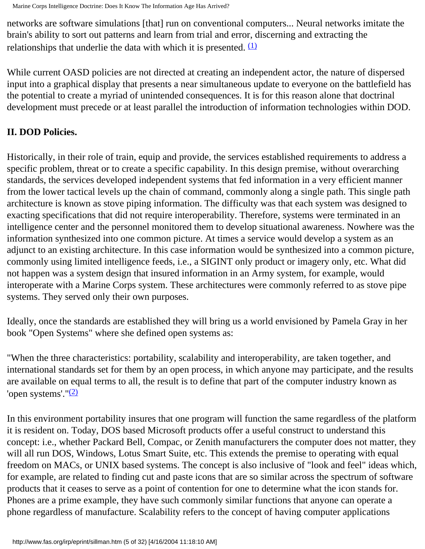networks are software simulations [that] run on conventional computers... Neural networks imitate the brain's ability to sort out patterns and learn from trial and error, discerning and extracting the relationships that underlie the data with which it is presented.  $(1)$ 

While current OASD policies are not directed at creating an independent actor, the nature of dispersed input into a graphical display that presents a near simultaneous update to everyone on the battlefield has the potential to create a myriad of unintended consequences. It is for this reason alone that doctrinal development must precede or at least parallel the introduction of information technologies within DOD.

# **II. DOD Policies.**

Historically, in their role of train, equip and provide, the services established requirements to address a specific problem, threat or to create a specific capability. In this design premise, without overarching standards, the services developed independent systems that fed information in a very efficient manner from the lower tactical levels up the chain of command, commonly along a single path. This single path architecture is known as stove piping information. The difficulty was that each system was designed to exacting specifications that did not require interoperability. Therefore, systems were terminated in an intelligence center and the personnel monitored them to develop situational awareness. Nowhere was the information synthesized into one common picture. At times a service would develop a system as an adjunct to an existing architecture. In this case information would be synthesized into a common picture, commonly using limited intelligence feeds, i.e., a SIGINT only product or imagery only, etc. What did not happen was a system design that insured information in an Army system, for example, would interoperate with a Marine Corps system. These architectures were commonly referred to as stove pipe systems. They served only their own purposes.

Ideally, once the standards are established they will bring us a world envisioned by Pamela Gray in her book "Open Systems" where she defined open systems as:

"When the three characteristics: portability, scalability and interoperability, are taken together, and international standards set for them by an open process, in which anyone may participate, and the results are available on equal terms to all, the result is to define that part of the computer industry known as 'open systems'.["\(2\)](#page-26-1)

In this environment portability insures that one program will function the same regardless of the platform it is resident on. Today, DOS based Microsoft products offer a useful construct to understand this concept: i.e., whether Packard Bell, Compac, or Zenith manufacturers the computer does not matter, they will all run DOS, Windows, Lotus Smart Suite, etc. This extends the premise to operating with equal freedom on MACs, or UNIX based systems. The concept is also inclusive of "look and feel" ideas which, for example, are related to finding cut and paste icons that are so similar across the spectrum of software products that it ceases to serve as a point of contention for one to determine what the icon stands for. Phones are a prime example, they have such commonly similar functions that anyone can operate a phone regardless of manufacture. Scalability refers to the concept of having computer applications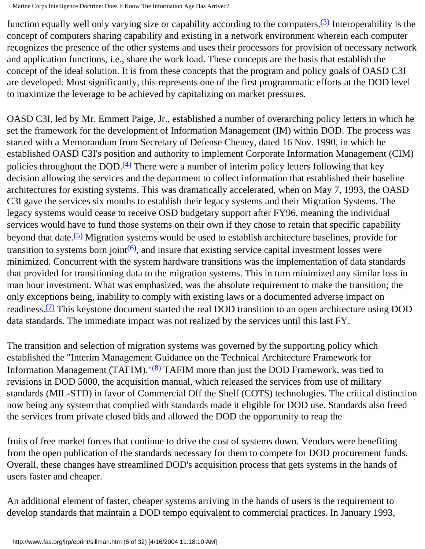function equally well only varying size or capability according to the computers.[\(3\)](#page-26-2) Interoperability is the concept of computers sharing capability and existing in a network environment wherein each computer recognizes the presence of the other systems and uses their processors for provision of necessary network and application functions, i.e., share the work load. These concepts are the basis that establish the concept of the ideal solution. It is from these concepts that the program and policy goals of OASD C3I are developed. Most significantly, this represents one of the first programmatic efforts at the DOD level to maximize the leverage to be achieved by capitalizing on market pressures.

OASD C3I, led by Mr. Emmett Paige, Jr., established a number of overarching policy letters in which he set the framework for the development of Information Management (IM) within DOD. The process was started with a Memorandum from Secretary of Defense Cheney, dated 16 Nov. 1990, in which he established OASD C3I's position and authority to implement Corporate Information Management (CIM) policies throughout the DOD. $(4)$  There were a number of interim policy letters following that key decision allowing the services and the department to collect information that established their baseline architectures for existing systems. This was dramatically accelerated, when on May 7, 1993, the OASD C3I gave the services six months to establish their legacy systems and their Migration Systems. The legacy systems would cease to receive OSD budgetary support after FY96, meaning the individual services would have to fund those systems on their own if they chose to retain that specific capability beyond that date.<sup>[\(5\)](#page-26-4)</sup> Migration systems would be used to establish architecture baselines, provide for transition to systems born joint $(6)$ , and insure that existing service capital investment losses were minimized. Concurrent with the system hardware transitions was the implementation of data standards that provided for transitioning data to the migration systems. This in turn minimized any similar loss in man hour investment. What was emphasized, was the absolute requirement to make the transition; the only exceptions being, inability to comply with existing laws or a documented adverse impact on readiness.<sup>(7)</sup> This keystone document started the real DOD transition to an open architecture using DOD data standards. The immediate impact was not realized by the services until this last FY.

The transition and selection of migration systems was governed by the supporting policy which established the "Interim Management Guidance on the Technical Architecture Framework for Information Management (TAFIM). " $(8)$  TAFIM more than just the DOD Framework, was tied to revisions in DOD 5000, the acquisition manual, which released the services from use of military standards (MIL-STD) in favor of Commercial Off the Shelf (COTS) technologies. The critical distinction now being any system that complied with standards made it eligible for DOD use. Standards also freed the services from private closed bids and allowed the DOD the opportunity to reap the

fruits of free market forces that continue to drive the cost of systems down. Vendors were benefiting from the open publication of the standards necessary for them to compete for DOD procurement funds. Overall, these changes have streamlined DOD's acquisition process that gets systems in the hands of users faster and cheaper.

An additional element of faster, cheaper systems arriving in the hands of users is the requirement to develop standards that maintain a DOD tempo equivalent to commercial practices. In January 1993,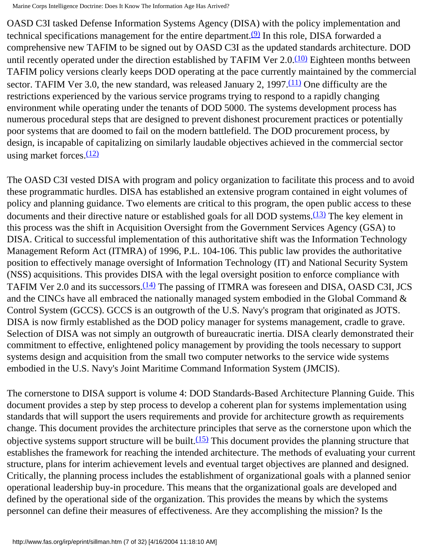OASD C3I tasked Defense Information Systems Agency (DISA) with the policy implementation and technical specifications management for the entire department.<sup>(9)</sup> In this role, DISA forwarded a comprehensive new TAFIM to be signed out by OASD C3I as the updated standards architecture. DOD until recently operated under the direction established by TAFIM Ver  $2.0 \frac{(10)}{(10)}$  Eighteen months between TAFIM policy versions clearly keeps DOD operating at the pace currently maintained by the commercial sector. TAFIM Ver 3.0, the new standard, was released January 2, 1997. $(11)$  One difficulty are the restrictions experienced by the various service programs trying to respond to a rapidly changing environment while operating under the tenants of DOD 5000. The systems development process has numerous procedural steps that are designed to prevent dishonest procurement practices or potentially poor systems that are doomed to fail on the modern battlefield. The DOD procurement process, by design, is incapable of capitalizing on similarly laudable objectives achieved in the commercial sector using market forces. $(12)$ 

The OASD C3I vested DISA with program and policy organization to facilitate this process and to avoid these programmatic hurdles. DISA has established an extensive program contained in eight volumes of policy and planning guidance. Two elements are critical to this program, the open public access to these documents and their directive nature or established goals for all DOD systems.<sup>(13)</sup> The key element in this process was the shift in Acquisition Oversight from the Government Services Agency (GSA) to DISA. Critical to successful implementation of this authoritative shift was the Information Technology Management Reform Act (ITMRA) of 1996, P.L. 104-106. This public law provides the authoritative position to effectively manage oversight of Information Technology (IT) and National Security System (NSS) acquisitions. This provides DISA with the legal oversight position to enforce compliance with TAFIM Ver 2.0 and its successors.<sup>[\(14\)](#page-27-8)</sup> The passing of ITMRA was foreseen and DISA, OASD C3I, JCS and the CINCs have all embraced the nationally managed system embodied in the Global Command & Control System (GCCS). GCCS is an outgrowth of the U.S. Navy's program that originated as JOTS. DISA is now firmly established as the DOD policy manager for systems management, cradle to grave. Selection of DISA was not simply an outgrowth of bureaucratic inertia. DISA clearly demonstrated their commitment to effective, enlightened policy management by providing the tools necessary to support systems design and acquisition from the small two computer networks to the service wide systems embodied in the U.S. Navy's Joint Maritime Command Information System (JMCIS).

The cornerstone to DISA support is volume 4: DOD Standards-Based Architecture Planning Guide. This document provides a step by step process to develop a coherent plan for systems implementation using standards that will support the users requirements and provide for architecture growth as requirements change. This document provides the architecture principles that serve as the cornerstone upon which the objective systems support structure will be built.<sup>[\(15\)](#page-27-9)</sup> This document provides the planning structure that establishes the framework for reaching the intended architecture. The methods of evaluating your current structure, plans for interim achievement levels and eventual target objectives are planned and designed. Critically, the planning process includes the establishment of organizational goals with a planned senior operational leadership buy-in procedure. This means that the organizational goals are developed and defined by the operational side of the organization. This provides the means by which the systems personnel can define their measures of effectiveness. Are they accomplishing the mission? Is the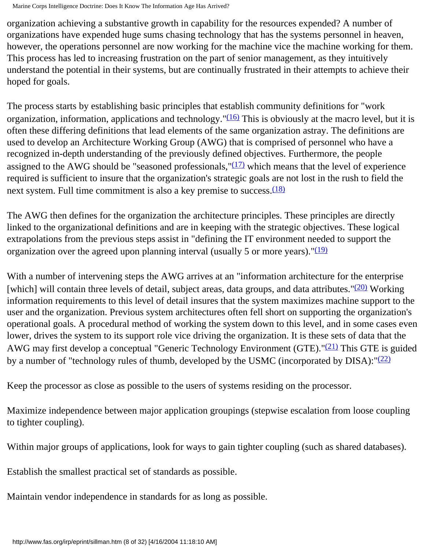organization achieving a substantive growth in capability for the resources expended? A number of organizations have expended huge sums chasing technology that has the systems personnel in heaven, however, the operations personnel are now working for the machine vice the machine working for them. This process has led to increasing frustration on the part of senior management, as they intuitively understand the potential in their systems, but are continually frustrated in their attempts to achieve their hoped for goals.

The process starts by establishing basic principles that establish community definitions for "work organization, information, applications and technology.  $\frac{(16)}{10}$  This is obviously at the macro level, but it is often these differing definitions that lead elements of the same organization astray. The definitions are used to develop an Architecture Working Group (AWG) that is comprised of personnel who have a recognized in-depth understanding of the previously defined objectives. Furthermore, the people assigned to the AWG should be "seasoned professionals," $(17)$  which means that the level of experience required is sufficient to insure that the organization's strategic goals are not lost in the rush to field the next system. Full time commitment is also a key premise to success. $(18)$ 

The AWG then defines for the organization the architecture principles. These principles are directly linked to the organizational definitions and are in keeping with the strategic objectives. These logical extrapolations from the previous steps assist in "defining the IT environment needed to support the organization over the agreed upon planning interval (usually 5 or more years).  $\frac{(19)}{(19)}$  $\frac{(19)}{(19)}$  $\frac{(19)}{(19)}$ 

With a number of intervening steps the AWG arrives at an "information architecture for the enterprise [which] will contain three levels of detail, subject areas, data groups, and data attributes." $(20)$  Working information requirements to this level of detail insures that the system maximizes machine support to the user and the organization. Previous system architectures often fell short on supporting the organization's operational goals. A procedural method of working the system down to this level, and in some cases even lower, drives the system to its support role vice driving the organization. It is these sets of data that the AWG may first develop a conceptual "Generic Technology Environment (GTE)." $(21)$  This GTE is guided by a number of "technology rules of thumb, developed by the USMC (incorporated by DISA):  $\frac{(22)}{2}$ 

Keep the processor as close as possible to the users of systems residing on the processor.

Maximize independence between major application groupings (stepwise escalation from loose coupling to tighter coupling).

Within major groups of applications, look for ways to gain tighter coupling (such as shared databases).

Establish the smallest practical set of standards as possible.

Maintain vendor independence in standards for as long as possible.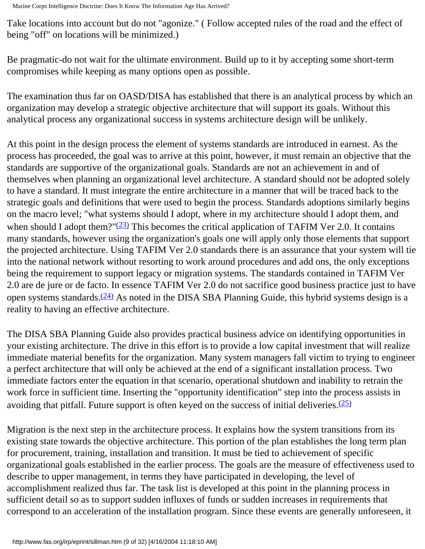Take locations into account but do not "agonize." ( Follow accepted rules of the road and the effect of being "off" on locations will be minimized.)

Be pragmatic-do not wait for the ultimate environment. Build up to it by accepting some short-term compromises while keeping as many options open as possible.

The examination thus far on OASD/DISA has established that there is an analytical process by which an organization may develop a strategic objective architecture that will support its goals. Without this analytical process any organizational success in systems architecture design will be unlikely.

At this point in the design process the element of systems standards are introduced in earnest. As the process has proceeded, the goal was to arrive at this point, however, it must remain an objective that the standards are supportive of the organizational goals. Standards are not an achievement in and of themselves when planning an organizational level architecture. A standard should not be adopted solely to have a standard. It must integrate the entire architecture in a manner that will be traced back to the strategic goals and definitions that were used to begin the process. Standards adoptions similarly begins on the macro level; "what systems should I adopt, where in my architecture should I adopt them, and when should I adopt them?" $(23)$  This becomes the critical application of TAFIM Ver 2.0. It contains many standards, however using the organization's goals one will apply only those elements that support the projected architecture. Using TAFIM Ver 2.0 standards there is an assurance that your system will tie into the national network without resorting to work around procedures and add ons, the only exceptions being the requirement to support legacy or migration systems. The standards contained in TAFIM Ver 2.0 are de jure or de facto. In essence TAFIM Ver 2.0 do not sacrifice good business practice just to have open systems standards.<sup>(24)</sup> As noted in the DISA SBA Planning Guide, this hybrid systems design is a reality to having an effective architecture.

The DISA SBA Planning Guide also provides practical business advice on identifying opportunities in your existing architecture. The drive in this effort is to provide a low capital investment that will realize immediate material benefits for the organization. Many system managers fall victim to trying to engineer a perfect architecture that will only be achieved at the end of a significant installation process. Two immediate factors enter the equation in that scenario, operational shutdown and inability to retrain the work force in sufficient time. Inserting the "opportunity identification" step into the process assists in avoiding that pitfall. Future support is often keyed on the success of initial deliveries. $(25)$ 

Migration is the next step in the architecture process. It explains how the system transitions from its existing state towards the objective architecture. This portion of the plan establishes the long term plan for procurement, training, installation and transition. It must be tied to achievement of specific organizational goals established in the earlier process. The goals are the measure of effectiveness used to describe to upper management, in terms they have participated in developing, the level of accomplishment realized thus far. The task list is developed at this point in the planning process in sufficient detail so as to support sudden influxes of funds or sudden increases in requirements that correspond to an acceleration of the installation program. Since these events are generally unforeseen, it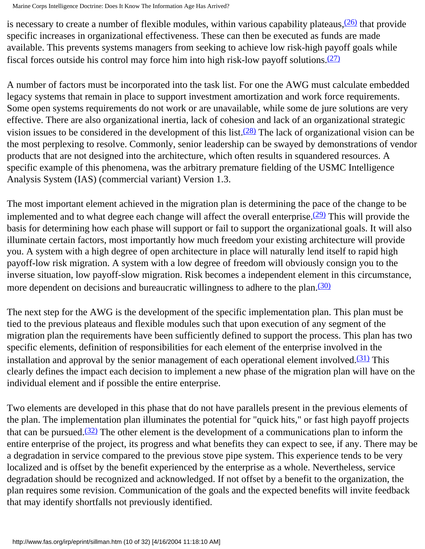is necessary to create a number of flexible modules, within various capability plateaus,  $(26)$  that provide specific increases in organizational effectiveness. These can then be executed as funds are made available. This prevents systems managers from seeking to achieve low risk-high payoff goals while fiscal forces outside his control may force him into high risk-low payoff solutions. $(27)$ 

A number of factors must be incorporated into the task list. For one the AWG must calculate embedded legacy systems that remain in place to support investment amortization and work force requirements. Some open systems requirements do not work or are unavailable, while some de jure solutions are very effective. There are also organizational inertia, lack of cohesion and lack of an organizational strategic vision issues to be considered in the development of this list.<sup>(28)</sup> The lack of organizational vision can be the most perplexing to resolve. Commonly, senior leadership can be swayed by demonstrations of vendor products that are not designed into the architecture, which often results in squandered resources. A specific example of this phenomena, was the arbitrary premature fielding of the USMC Intelligence Analysis System (IAS) (commercial variant) Version 1.3.

The most important element achieved in the migration plan is determining the pace of the change to be implemented and to what degree each change will affect the overall enterprise. $(29)$  This will provide the basis for determining how each phase will support or fail to support the organizational goals. It will also illuminate certain factors, most importantly how much freedom your existing architecture will provide you. A system with a high degree of open architecture in place will naturally lend itself to rapid high payoff-low risk migration. A system with a low degree of freedom will obviously consign you to the inverse situation, low payoff-slow migration. Risk becomes a independent element in this circumstance, more dependent on decisions and bureaucratic willingness to adhere to the plan.<sup>[\(30\)](#page-28-11)</sup>

The next step for the AWG is the development of the specific implementation plan. This plan must be tied to the previous plateaus and flexible modules such that upon execution of any segment of the migration plan the requirements have been sufficiently defined to support the process. This plan has two specific elements, definition of responsibilities for each element of the enterprise involved in the installation and approval by the senior management of each operational element involved.<sup>(31)</sup> This clearly defines the impact each decision to implement a new phase of the migration plan will have on the individual element and if possible the entire enterprise.

Two elements are developed in this phase that do not have parallels present in the previous elements of the plan. The implementation plan illuminates the potential for "quick hits," or fast high payoff projects that can be pursued.<sup>(32)</sup> The other element is the development of a communications plan to inform the entire enterprise of the project, its progress and what benefits they can expect to see, if any. There may be a degradation in service compared to the previous stove pipe system. This experience tends to be very localized and is offset by the benefit experienced by the enterprise as a whole. Nevertheless, service degradation should be recognized and acknowledged. If not offset by a benefit to the organization, the plan requires some revision. Communication of the goals and the expected benefits will invite feedback that may identify shortfalls not previously identified.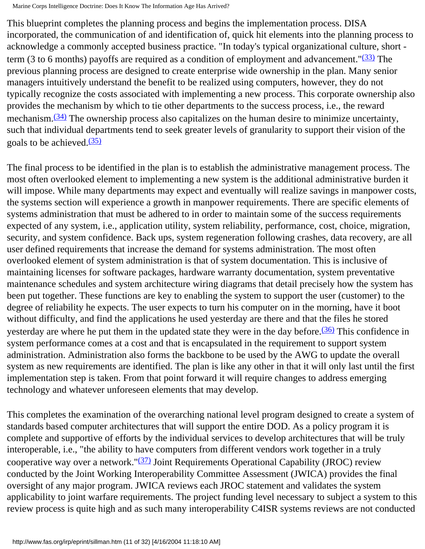This blueprint completes the planning process and begins the implementation process. DISA incorporated, the communication of and identification of, quick hit elements into the planning process to acknowledge a commonly accepted business practice. "In today's typical organizational culture, short term (3 to 6 months) payoffs are required as a condition of employment and advancement.  $\frac{(33)}{2}$  $\frac{(33)}{2}$  $\frac{(33)}{2}$  The previous planning process are designed to create enterprise wide ownership in the plan. Many senior managers intuitively understand the benefit to be realized using computers, however, they do not typically recognize the costs associated with implementing a new process. This corporate ownership also provides the mechanism by which to tie other departments to the success process, i.e., the reward mechanism.<sup>(34)</sup> The ownership process also capitalizes on the human desire to minimize uncertainty, such that individual departments tend to seek greater levels of granularity to support their vision of the goals to be achieved. $(35)$ 

The final process to be identified in the plan is to establish the administrative management process. The most often overlooked element to implementing a new system is the additional administrative burden it will impose. While many departments may expect and eventually will realize savings in manpower costs, the systems section will experience a growth in manpower requirements. There are specific elements of systems administration that must be adhered to in order to maintain some of the success requirements expected of any system, i.e., application utility, system reliability, performance, cost, choice, migration, security, and system confidence. Back ups, system regeneration following crashes, data recovery, are all user defined requirements that increase the demand for systems administration. The most often overlooked element of system administration is that of system documentation. This is inclusive of maintaining licenses for software packages, hardware warranty documentation, system preventative maintenance schedules and system architecture wiring diagrams that detail precisely how the system has been put together. These functions are key to enabling the system to support the user (customer) to the degree of reliability he expects. The user expects to turn his computer on in the morning, have it boot without difficulty, and find the applications he used yesterday are there and that the files he stored yesterday are where he put them in the updated state they were in the day before. $\frac{(36)}{(36)}$  This confidence in system performance comes at a cost and that is encapsulated in the requirement to support system administration. Administration also forms the backbone to be used by the AWG to update the overall system as new requirements are identified. The plan is like any other in that it will only last until the first implementation step is taken. From that point forward it will require changes to address emerging technology and whatever unforeseen elements that may develop.

This completes the examination of the overarching national level program designed to create a system of standards based computer architectures that will support the entire DOD. As a policy program it is complete and supportive of efforts by the individual services to develop architectures that will be truly interoperable, i.e., "the ability to have computers from different vendors work together in a truly cooperative way over a network." $(37)$  Joint Requirements Operational Capability (JROC) review conducted by the Joint Working Interoperability Committee Assessment (JWICA) provides the final oversight of any major program. JWICA reviews each JROC statement and validates the system applicability to joint warfare requirements. The project funding level necessary to subject a system to this review process is quite high and as such many interoperability C4ISR systems reviews are not conducted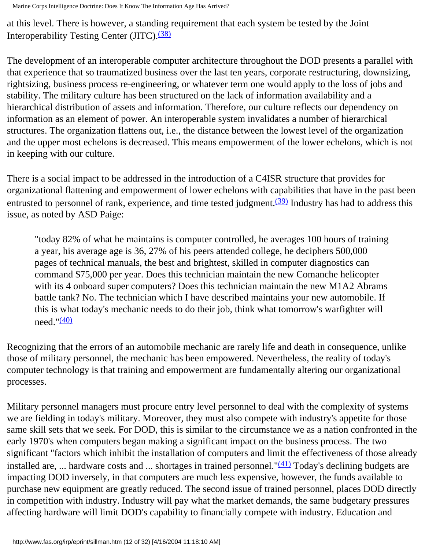at this level. There is however, a standing requirement that each system be tested by the Joint Interoperability Testing Center (JITC).<sup>[\(38\)](#page-28-19)</sup>

The development of an interoperable computer architecture throughout the DOD presents a parallel with that experience that so traumatized business over the last ten years, corporate restructuring, downsizing, rightsizing, business process re-engineering, or whatever term one would apply to the loss of jobs and stability. The military culture has been structured on the lack of information availability and a hierarchical distribution of assets and information. Therefore, our culture reflects our dependency on information as an element of power. An interoperable system invalidates a number of hierarchical structures. The organization flattens out, i.e., the distance between the lowest level of the organization and the upper most echelons is decreased. This means empowerment of the lower echelons, which is not in keeping with our culture.

There is a social impact to be addressed in the introduction of a C4ISR structure that provides for organizational flattening and empowerment of lower echelons with capabilities that have in the past been entrusted to personnel of rank, experience, and time tested judgment. $(39)$  Industry has had to address this issue, as noted by ASD Paige:

"today 82% of what he maintains is computer controlled, he averages 100 hours of training a year, his average age is 36, 27% of his peers attended college, he deciphers 500,000 pages of technical manuals, the best and brightest, skilled in computer diagnostics can command \$75,000 per year. Does this technician maintain the new Comanche helicopter with its 4 onboard super computers? Does this technician maintain the new M1A2 Abrams battle tank? No. The technician which I have described maintains your new automobile. If this is what today's mechanic needs to do their job, think what tomorrow's warfighter will  $need.$ " $(40)$ 

Recognizing that the errors of an automobile mechanic are rarely life and death in consequence, unlike those of military personnel, the mechanic has been empowered. Nevertheless, the reality of today's computer technology is that training and empowerment are fundamentally altering our organizational processes.

Military personnel managers must procure entry level personnel to deal with the complexity of systems we are fielding in today's military. Moreover, they must also compete with industry's appetite for those same skill sets that we seek. For DOD, this is similar to the circumstance we as a nation confronted in the early 1970's when computers began making a significant impact on the business process. The two significant "factors which inhibit the installation of computers and limit the effectiveness of those already installed are, ... hardware costs and ... shortages in trained personnel." $(41)$  Today's declining budgets are impacting DOD inversely, in that computers are much less expensive, however, the funds available to purchase new equipment are greatly reduced. The second issue of trained personnel, places DOD directly in competition with industry. Industry will pay what the market demands, the same budgetary pressures affecting hardware will limit DOD's capability to financially compete with industry. Education and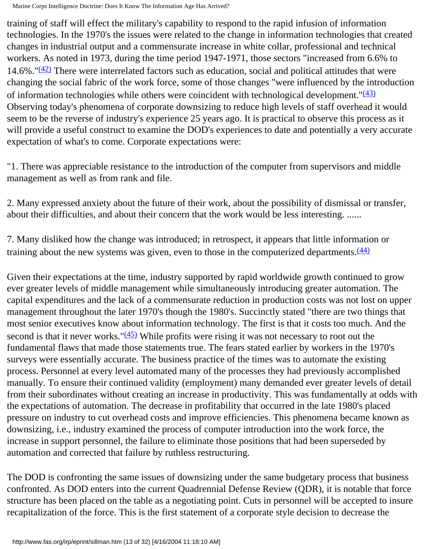training of staff will effect the military's capability to respond to the rapid infusion of information technologies. In the 1970's the issues were related to the change in information technologies that created changes in industrial output and a commensurate increase in white collar, professional and technical workers. As noted in 1973, during the time period 1947-1971, those sectors "increased from 6.6% to 14.6%." $(42)$  There were interrelated factors such as education, social and political attitudes that were changing the social fabric of the work force, some of those changes "were influenced by the introduction of information technologies while others were coincident with technological development." $(43)$ Observing today's phenomena of corporate downsizing to reduce high levels of staff overhead it would seem to be the reverse of industry's experience 25 years ago. It is practical to observe this process as it will provide a useful construct to examine the DOD's experiences to date and potentially a very accurate expectation of what's to come. Corporate expectations were:

"1. There was appreciable resistance to the introduction of the computer from supervisors and middle management as well as from rank and file.

2. Many expressed anxiety about the future of their work, about the possibility of dismissal or transfer, about their difficulties, and about their concern that the work would be less interesting. ......

7. Many disliked how the change was introduced; in retrospect, it appears that little information or training about the new systems was given, even to those in the computerized departments. $\frac{(44)}{4}$  $\frac{(44)}{4}$  $\frac{(44)}{4}$ 

Given their expectations at the time, industry supported by rapid worldwide growth continued to grow ever greater levels of middle management while simultaneously introducing greater automation. The capital expenditures and the lack of a commensurate reduction in production costs was not lost on upper management throughout the later 1970's though the 1980's. Succinctly stated "there are two things that most senior executives know about information technology. The first is that it costs too much. And the second is that it never works." $(45)$  While profits were rising it was not necessary to root out the fundamental flaws that made those statements true. The fears stated earlier by workers in the 1970's surveys were essentially accurate. The business practice of the times was to automate the existing process. Personnel at every level automated many of the processes they had previously accomplished manually. To ensure their continued validity (employment) many demanded ever greater levels of detail from their subordinates without creating an increase in productivity. This was fundamentally at odds with the expectations of automation. The decrease in profitability that occurred in the late 1980's placed pressure on industry to cut overhead costs and improve efficiencies. This phenomena became known as downsizing, i.e., industry examined the process of computer introduction into the work force, the increase in support personnel, the failure to eliminate those positions that had been superseded by automation and corrected that failure by ruthless restructuring.

The DOD is confronting the same issues of downsizing under the same budgetary process that business confronted. As DOD enters into the current Quadrennial Defense Review (QDR), it is notable that force structure has been placed on the table as a negotiating point. Cuts in personnel will be accepted to insure recapitalization of the force. This is the first statement of a corporate style decision to decrease the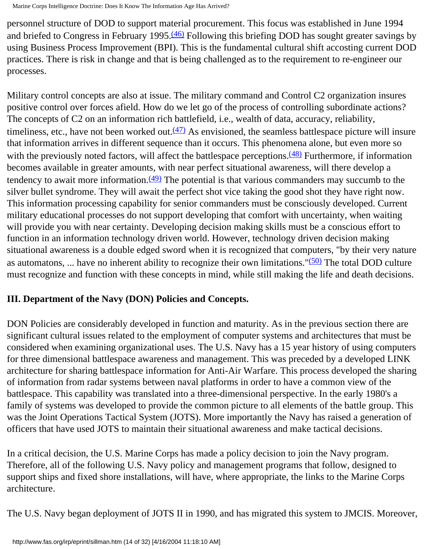personnel structure of DOD to support material procurement. This focus was established in June 1994 and briefed to Congress in February 1995.<sup>[\(46\)](#page-29-7)</sup> Following this briefing DOD has sought greater savings by using Business Process Improvement (BPI). This is the fundamental cultural shift accosting current DOD practices. There is risk in change and that is being challenged as to the requirement to re-engineer our processes.

Military control concepts are also at issue. The military command and Control C2 organization insures positive control over forces afield. How do we let go of the process of controlling subordinate actions? The concepts of C2 on an information rich battlefield, i.e., wealth of data, accuracy, reliability, timeliness, etc., have not been worked out. $(47)$  As envisioned, the seamless battlespace picture will insure that information arrives in different sequence than it occurs. This phenomena alone, but even more so with the previously noted factors, will affect the battlespace perceptions. $(48)$  Furthermore, if information becomes available in greater amounts, with near perfect situational awareness, will there develop a tendency to await more information. $(49)$  The potential is that various commanders may succumb to the silver bullet syndrome. They will await the perfect shot vice taking the good shot they have right now. This information processing capability for senior commanders must be consciously developed. Current military educational processes do not support developing that comfort with uncertainty, when waiting will provide you with near certainty. Developing decision making skills must be a conscious effort to function in an information technology driven world. However, technology driven decision making situational awareness is a double edged sword when it is recognized that computers, "by their very nature as automatons, ... have no inherent ability to recognize their own limitations." $(50)$  The total DOD culture must recognize and function with these concepts in mind, while still making the life and death decisions.

# **III. Department of the Navy (DON) Policies and Concepts.**

DON Policies are considerably developed in function and maturity. As in the previous section there are significant cultural issues related to the employment of computer systems and architectures that must be considered when examining organizational uses. The U.S. Navy has a 15 year history of using computers for three dimensional battlespace awareness and management. This was preceded by a developed LINK architecture for sharing battlespace information for Anti-Air Warfare. This process developed the sharing of information from radar systems between naval platforms in order to have a common view of the battlespace. This capability was translated into a three-dimensional perspective. In the early 1980's a family of systems was developed to provide the common picture to all elements of the battle group. This was the Joint Operations Tactical System (JOTS). More importantly the Navy has raised a generation of officers that have used JOTS to maintain their situational awareness and make tactical decisions.

In a critical decision, the U.S. Marine Corps has made a policy decision to join the Navy program. Therefore, all of the following U.S. Navy policy and management programs that follow, designed to support ships and fixed shore installations, will have, where appropriate, the links to the Marine Corps architecture.

The U.S. Navy began deployment of JOTS II in 1990, and has migrated this system to JMCIS. Moreover,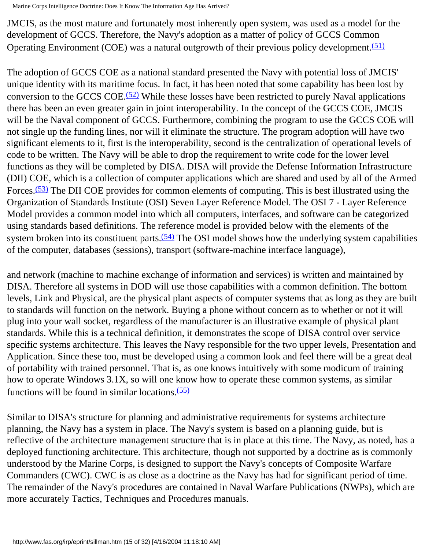JMCIS, as the most mature and fortunately most inherently open system, was used as a model for the development of GCCS. Therefore, the Navy's adoption as a matter of policy of GCCS Common Operating Environment (COE) was a natural outgrowth of their previous policy development.<sup>[\(51\)](#page-29-12)</sup>

The adoption of GCCS COE as a national standard presented the Navy with potential loss of JMCIS' unique identity with its maritime focus. In fact, it has been noted that some capability has been lost by conversion to the GCCS COE.<sup> $(52)$ </sup> While these losses have been restricted to purely Naval applications there has been an even greater gain in joint interoperability. In the concept of the GCCS COE, JMCIS will be the Naval component of GCCS. Furthermore, combining the program to use the GCCS COE will not single up the funding lines, nor will it eliminate the structure. The program adoption will have two significant elements to it, first is the interoperability, second is the centralization of operational levels of code to be written. The Navy will be able to drop the requirement to write code for the lower level functions as they will be completed by DISA. DISA will provide the Defense Information Infrastructure (DII) COE, which is a collection of computer applications which are shared and used by all of the Armed Forces.<sup>[\(53\)](#page-29-14)</sup> The DII COE provides for common elements of computing. This is best illustrated using the Organization of Standards Institute (OSI) Seven Layer Reference Model. The OSI 7 - Layer Reference Model provides a common model into which all computers, interfaces, and software can be categorized using standards based definitions. The reference model is provided below with the elements of the system broken into its constituent parts. $(54)$  The OSI model shows how the underlying system capabilities of the computer, databases (sessions), transport (software-machine interface language),

and network (machine to machine exchange of information and services) is written and maintained by DISA. Therefore all systems in DOD will use those capabilities with a common definition. The bottom levels, Link and Physical, are the physical plant aspects of computer systems that as long as they are built to standards will function on the network. Buying a phone without concern as to whether or not it will plug into your wall socket, regardless of the manufacturer is an illustrative example of physical plant standards. While this is a technical definition, it demonstrates the scope of DISA control over service specific systems architecture. This leaves the Navy responsible for the two upper levels, Presentation and Application. Since these too, must be developed using a common look and feel there will be a great deal of portability with trained personnel. That is, as one knows intuitively with some modicum of training how to operate Windows 3.1X, so will one know how to operate these common systems, as similar functions will be found in similar locations. $(55)$ 

Similar to DISA's structure for planning and administrative requirements for systems architecture planning, the Navy has a system in place. The Navy's system is based on a planning guide, but is reflective of the architecture management structure that is in place at this time. The Navy, as noted, has a deployed functioning architecture. This architecture, though not supported by a doctrine as is commonly understood by the Marine Corps, is designed to support the Navy's concepts of Composite Warfare Commanders (CWC). CWC is as close as a doctrine as the Navy has had for significant period of time. The remainder of the Navy's procedures are contained in Naval Warfare Publications (NWPs), which are more accurately Tactics, Techniques and Procedures manuals.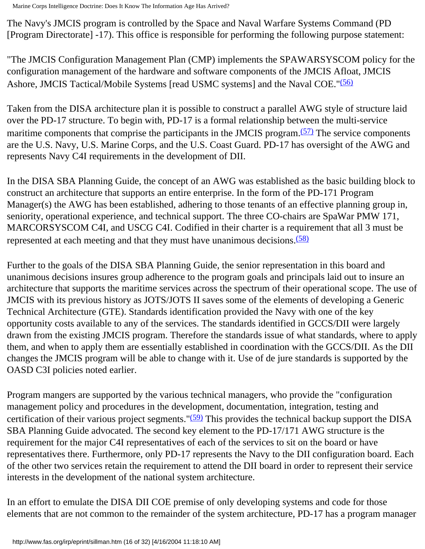The Navy's JMCIS program is controlled by the Space and Naval Warfare Systems Command (PD [Program Directorate] -17). This office is responsible for performing the following purpose statement:

"The JMCIS Configuration Management Plan (CMP) implements the SPAWARSYSCOM policy for the configuration management of the hardware and software components of the JMCIS Afloat, JMCIS Ashore, JMCIS Tactical/Mobile Systems [read USMC systems] and the Naval COE.["\(56\)](#page-30-1)

Taken from the DISA architecture plan it is possible to construct a parallel AWG style of structure laid over the PD-17 structure. To begin with, PD-17 is a formal relationship between the multi-service maritime components that comprise the participants in the JMCIS program.<sup>(57)</sup> The service components are the U.S. Navy, U.S. Marine Corps, and the U.S. Coast Guard. PD-17 has oversight of the AWG and represents Navy C4I requirements in the development of DII.

In the DISA SBA Planning Guide, the concept of an AWG was established as the basic building block to construct an architecture that supports an entire enterprise. In the form of the PD-171 Program Manager(s) the AWG has been established, adhering to those tenants of an effective planning group in, seniority, operational experience, and technical support. The three CO-chairs are SpaWar PMW 171, MARCORSYSCOM C4I, and USCG C4I. Codified in their charter is a requirement that all 3 must be represented at each meeting and that they must have unanimous decisions.<sup>(58)</sup>

Further to the goals of the DISA SBA Planning Guide, the senior representation in this board and unanimous decisions insures group adherence to the program goals and principals laid out to insure an architecture that supports the maritime services across the spectrum of their operational scope. The use of JMCIS with its previous history as JOTS/JOTS II saves some of the elements of developing a Generic Technical Architecture (GTE). Standards identification provided the Navy with one of the key opportunity costs available to any of the services. The standards identified in GCCS/DII were largely drawn from the existing JMCIS program. Therefore the standards issue of what standards, where to apply them, and when to apply them are essentially established in coordination with the GCCS/DII. As the DII changes the JMCIS program will be able to change with it. Use of de jure standards is supported by the OASD C3I policies noted earlier.

Program mangers are supported by the various technical managers, who provide the "configuration management policy and procedures in the development, documentation, integration, testing and certification of their various project segments." $(59)$  This provides the technical backup support the DISA SBA Planning Guide advocated. The second key element to the PD-17/171 AWG structure is the requirement for the major C4I representatives of each of the services to sit on the board or have representatives there. Furthermore, only PD-17 represents the Navy to the DII configuration board. Each of the other two services retain the requirement to attend the DII board in order to represent their service interests in the development of the national system architecture.

In an effort to emulate the DISA DII COE premise of only developing systems and code for those elements that are not common to the remainder of the system architecture, PD-17 has a program manager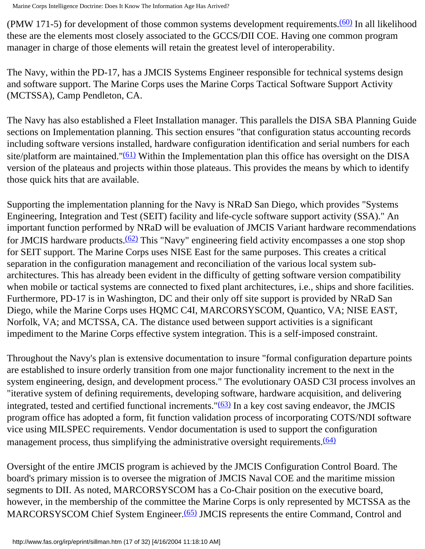(PMW 171-5) for development of those common systems development requirements.<sup>(60)</sup> In all likelihood these are the elements most closely associated to the GCCS/DII COE. Having one common program manager in charge of those elements will retain the greatest level of interoperability.

The Navy, within the PD-17, has a JMCIS Systems Engineer responsible for technical systems design and software support. The Marine Corps uses the Marine Corps Tactical Software Support Activity (MCTSSA), Camp Pendleton, CA.

The Navy has also established a Fleet Installation manager. This parallels the DISA SBA Planning Guide sections on Implementation planning. This section ensures "that configuration status accounting records including software versions installed, hardware configuration identification and serial numbers for each site/platform are maintained." $(61)$  Within the Implementation plan this office has oversight on the DISA version of the plateaus and projects within those plateaus. This provides the means by which to identify those quick hits that are available.

Supporting the implementation planning for the Navy is NRaD San Diego, which provides "Systems Engineering, Integration and Test (SEIT) facility and life-cycle software support activity (SSA)." An important function performed by NRaD will be evaluation of JMCIS Variant hardware recommendations for JMCIS hardware products[.\(62\)](#page-30-7) This "Navy" engineering field activity encompasses a one stop shop for SEIT support. The Marine Corps uses NISE East for the same purposes. This creates a critical separation in the configuration management and reconciliation of the various local system subarchitectures. This has already been evident in the difficulty of getting software version compatibility when mobile or tactical systems are connected to fixed plant architectures, i.e., ships and shore facilities. Furthermore, PD-17 is in Washington, DC and their only off site support is provided by NRaD San Diego, while the Marine Corps uses HQMC C4I, MARCORSYSCOM, Quantico, VA; NISE EAST, Norfolk, VA; and MCTSSA, CA. The distance used between support activities is a significant impediment to the Marine Corps effective system integration. This is a self-imposed constraint.

Throughout the Navy's plan is extensive documentation to insure "formal configuration departure points are established to insure orderly transition from one major functionality increment to the next in the system engineering, design, and development process." The evolutionary OASD C3I process involves an "iterative system of defining requirements, developing software, hardware acquisition, and delivering integrated, tested and certified functional increments." $(63)$  In a key cost saving endeavor, the JMCIS program office has adopted a form, fit function validation process of incorporating COTS/NDI software vice using MILSPEC requirements. Vendor documentation is used to support the configuration management process, thus simplifying the administrative oversight requirements.<sup>(64)</sup>

Oversight of the entire JMCIS program is achieved by the JMCIS Configuration Control Board. The board's primary mission is to oversee the migration of JMCIS Naval COE and the maritime mission segments to DII. As noted, MARCORSYSCOM has a Co-Chair position on the executive board, however, in the membership of the committee the Marine Corps is only represented by MCTSSA as the MARCORSYSCOM Chief System Engineer.<sup>(65)</sup> JMCIS represents the entire Command, Control and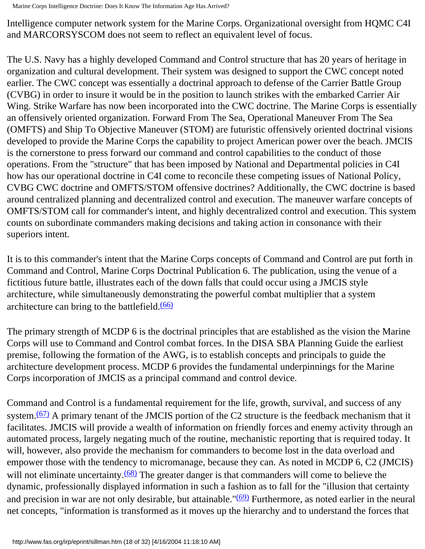Intelligence computer network system for the Marine Corps. Organizational oversight from HQMC C4I and MARCORSYSCOM does not seem to reflect an equivalent level of focus.

The U.S. Navy has a highly developed Command and Control structure that has 20 years of heritage in organization and cultural development. Their system was designed to support the CWC concept noted earlier. The CWC concept was essentially a doctrinal approach to defense of the Carrier Battle Group (CVBG) in order to insure it would be in the position to launch strikes with the embarked Carrier Air Wing. Strike Warfare has now been incorporated into the CWC doctrine. The Marine Corps is essentially an offensively oriented organization. Forward From The Sea, Operational Maneuver From The Sea (OMFTS) and Ship To Objective Maneuver (STOM) are futuristic offensively oriented doctrinal visions developed to provide the Marine Corps the capability to project American power over the beach. JMCIS is the cornerstone to press forward our command and control capabilities to the conduct of those operations. From the "structure" that has been imposed by National and Departmental policies in C4I how has our operational doctrine in C4I come to reconcile these competing issues of National Policy, CVBG CWC doctrine and OMFTS/STOM offensive doctrines? Additionally, the CWC doctrine is based around centralized planning and decentralized control and execution. The maneuver warfare concepts of OMFTS/STOM call for commander's intent, and highly decentralized control and execution. This system counts on subordinate commanders making decisions and taking action in consonance with their superiors intent.

It is to this commander's intent that the Marine Corps concepts of Command and Control are put forth in Command and Control, Marine Corps Doctrinal Publication 6. The publication, using the venue of a fictitious future battle, illustrates each of the down falls that could occur using a JMCIS style architecture, while simultaneously demonstrating the powerful combat multiplier that a system architecture can bring to the battlefield.[\(66\)](#page-30-11)

The primary strength of MCDP 6 is the doctrinal principles that are established as the vision the Marine Corps will use to Command and Control combat forces. In the DISA SBA Planning Guide the earliest premise, following the formation of the AWG, is to establish concepts and principals to guide the architecture development process. MCDP 6 provides the fundamental underpinnings for the Marine Corps incorporation of JMCIS as a principal command and control device.

Command and Control is a fundamental requirement for the life, growth, survival, and success of any system. $(67)$  A primary tenant of the JMCIS portion of the C2 structure is the feedback mechanism that it facilitates. JMCIS will provide a wealth of information on friendly forces and enemy activity through an automated process, largely negating much of the routine, mechanistic reporting that is required today. It will, however, also provide the mechanism for commanders to become lost in the data overload and empower those with the tendency to micromanage, because they can. As noted in MCDP 6, C2 (JMCIS) will not eliminate uncertainty.<sup>[\(68\)](#page-30-13)</sup> The greater danger is that commanders will come to believe the dynamic, professionally displayed information in such a fashion as to fall for the "illusion that certainty and precision in war are not only desirable, but attainable."<sup>(69)</sup> Furthermore, as noted earlier in the neural net concepts, "information is transformed as it moves up the hierarchy and to understand the forces that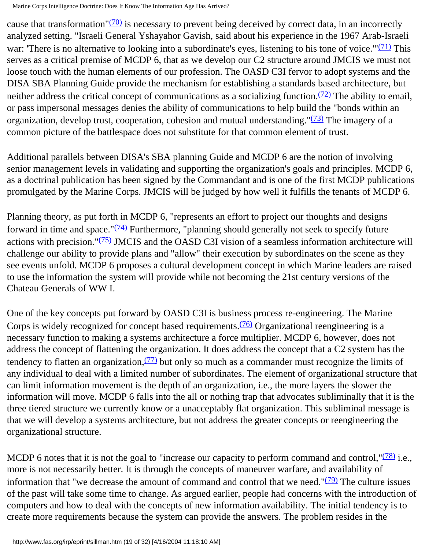cause that transformation" $(70)$  is necessary to prevent being deceived by correct data, in an incorrectly analyzed setting. "Israeli General Yshayahor Gavish, said about his experience in the 1967 Arab-Israeli war: 'There is no alternative to looking into a subordinate's eyes, listening to his tone of voice.'" $(71)$  This serves as a critical premise of MCDP 6, that as we develop our C2 structure around JMCIS we must not loose touch with the human elements of our profession. The OASD C3I fervor to adopt systems and the DISA SBA Planning Guide provide the mechanism for establishing a standards based architecture, but neither address the critical concept of communications as a socializing function.<sup>(72)</sup> The ability to email, or pass impersonal messages denies the ability of communications to help build the "bonds within an organization, develop trust, cooperation, cohesion and mutual understanding."<sup>[\(73\)](#page-30-18)</sup> The imagery of a common picture of the battlespace does not substitute for that common element of trust.

Additional parallels between DISA's SBA planning Guide and MCDP 6 are the notion of involving senior management levels in validating and supporting the organization's goals and principles. MCDP 6, as a doctrinal publication has been signed by the Commandant and is one of the first MCDP publications promulgated by the Marine Corps. JMCIS will be judged by how well it fulfills the tenants of MCDP 6.

Planning theory, as put forth in MCDP 6, "represents an effort to project our thoughts and designs forward in time and space." $(74)$  Furthermore, "planning should generally not seek to specify future actions with precision.["\(75\)](#page-31-0) JMCIS and the OASD C3I vision of a seamless information architecture will challenge our ability to provide plans and "allow" their execution by subordinates on the scene as they see events unfold. MCDP 6 proposes a cultural development concept in which Marine leaders are raised to use the information the system will provide while not becoming the 21st century versions of the Chateau Generals of WW I.

One of the key concepts put forward by OASD C3I is business process re-engineering. The Marine Corps is widely recognized for concept based requirements.<sup>(76)</sup> Organizational reengineering is a necessary function to making a systems architecture a force multiplier. MCDP 6, however, does not address the concept of flattening the organization. It does address the concept that a C2 system has the tendency to flatten an organization,  $(77)$  but only so much as a commander must recognize the limits of any individual to deal with a limited number of subordinates. The element of organizational structure that can limit information movement is the depth of an organization, i.e., the more layers the slower the information will move. MCDP 6 falls into the all or nothing trap that advocates subliminally that it is the three tiered structure we currently know or a unacceptably flat organization. This subliminal message is that we will develop a systems architecture, but not address the greater concepts or reengineering the organizational structure.

MCDP 6 notes that it is not the goal to "increase our capacity to perform command and control,  $\frac{(78)}{1}$  i.e., more is not necessarily better. It is through the concepts of maneuver warfare, and availability of information that "we decrease the amount of command and control that we need." $(79)$  The culture issues of the past will take some time to change. As argued earlier, people had concerns with the introduction of computers and how to deal with the concepts of new information availability. The initial tendency is to create more requirements because the system can provide the answers. The problem resides in the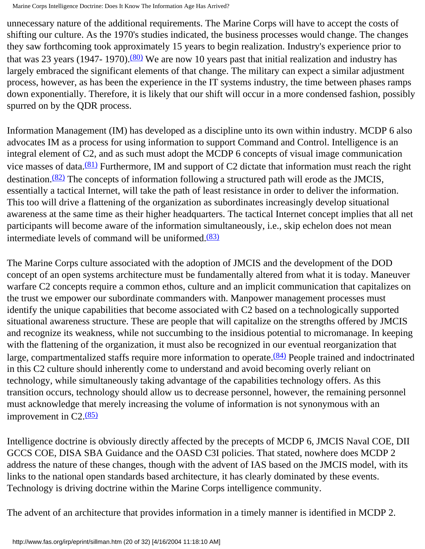unnecessary nature of the additional requirements. The Marine Corps will have to accept the costs of shifting our culture. As the 1970's studies indicated, the business processes would change. The changes they saw forthcoming took approximately 15 years to begin realization. Industry's experience prior to that was 23 years (1947- 1970). $(80)$  We are now 10 years past that initial realization and industry has largely embraced the significant elements of that change. The military can expect a similar adjustment process, however, as has been the experience in the IT systems industry, the time between phases ramps down exponentially. Therefore, it is likely that our shift will occur in a more condensed fashion, possibly spurred on by the QDR process.

Information Management (IM) has developed as a discipline unto its own within industry. MCDP 6 also advocates IM as a process for using information to support Command and Control. Intelligence is an integral element of C2, and as such must adopt the MCDP 6 concepts of visual image communication vice masses of data. $\frac{(81)}{811}$  Furthermore, IM and support of C2 dictate that information must reach the right destination.<sup>(82)</sup> The concepts of information following a structured path will erode as the JMCIS, essentially a tactical Internet, will take the path of least resistance in order to deliver the information. This too will drive a flattening of the organization as subordinates increasingly develop situational awareness at the same time as their higher headquarters. The tactical Internet concept implies that all net participants will become aware of the information simultaneously, i.e., skip echelon does not mean intermediate levels of command will be uniformed. $(83)$ 

The Marine Corps culture associated with the adoption of JMCIS and the development of the DOD concept of an open systems architecture must be fundamentally altered from what it is today. Maneuver warfare C2 concepts require a common ethos, culture and an implicit communication that capitalizes on the trust we empower our subordinate commanders with. Manpower management processes must identify the unique capabilities that become associated with C2 based on a technologically supported situational awareness structure. These are people that will capitalize on the strengths offered by JMCIS and recognize its weakness, while not succumbing to the insidious potential to micromanage. In keeping with the flattening of the organization, it must also be recognized in our eventual reorganization that large, compartmentalized staffs require more information to operate.<sup>[\(84\)](#page-31-9)</sup> People trained and indoctrinated in this C2 culture should inherently come to understand and avoid becoming overly reliant on technology, while simultaneously taking advantage of the capabilities technology offers. As this transition occurs, technology should allow us to decrease personnel, however, the remaining personnel must acknowledge that merely increasing the volume of information is not synonymous with an improvement in  $C2.65$ 

Intelligence doctrine is obviously directly affected by the precepts of MCDP 6, JMCIS Naval COE, DII GCCS COE, DISA SBA Guidance and the OASD C3I policies. That stated, nowhere does MCDP 2 address the nature of these changes, though with the advent of IAS based on the JMCIS model, with its links to the national open standards based architecture, it has clearly dominated by these events. Technology is driving doctrine within the Marine Corps intelligence community.

The advent of an architecture that provides information in a timely manner is identified in MCDP 2.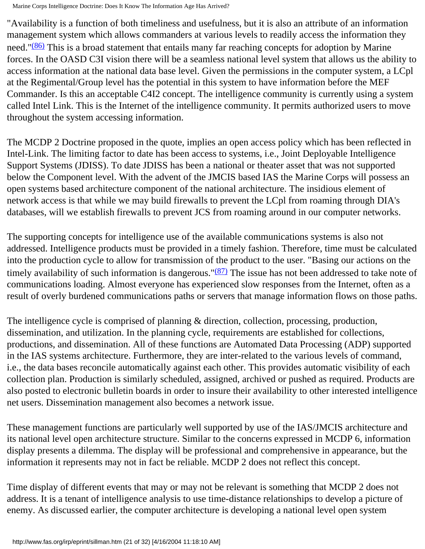"Availability is a function of both timeliness and usefulness, but it is also an attribute of an information management system which allows commanders at various levels to readily access the information they need." $(86)$  This is a broad statement that entails many far reaching concepts for adoption by Marine forces. In the OASD C3I vision there will be a seamless national level system that allows us the ability to access information at the national data base level. Given the permissions in the computer system, a LCpl at the Regimental/Group level has the potential in this system to have information before the MEF Commander. Is this an acceptable C4I2 concept. The intelligence community is currently using a system called Intel Link. This is the Internet of the intelligence community. It permits authorized users to move throughout the system accessing information.

The MCDP 2 Doctrine proposed in the quote, implies an open access policy which has been reflected in Intel-Link. The limiting factor to date has been access to systems, i.e., Joint Deployable Intelligence Support Systems (JDISS). To date JDISS has been a national or theater asset that was not supported below the Component level. With the advent of the JMCIS based IAS the Marine Corps will possess an open systems based architecture component of the national architecture. The insidious element of network access is that while we may build firewalls to prevent the LCpl from roaming through DIA's databases, will we establish firewalls to prevent JCS from roaming around in our computer networks.

The supporting concepts for intelligence use of the available communications systems is also not addressed. Intelligence products must be provided in a timely fashion. Therefore, time must be calculated into the production cycle to allow for transmission of the product to the user. "Basing our actions on the timely availability of such information is dangerous." $(87)$  The issue has not been addressed to take note of communications loading. Almost everyone has experienced slow responses from the Internet, often as a result of overly burdened communications paths or servers that manage information flows on those paths.

The intelligence cycle is comprised of planning & direction, collection, processing, production, dissemination, and utilization. In the planning cycle, requirements are established for collections, productions, and dissemination. All of these functions are Automated Data Processing (ADP) supported in the IAS systems architecture. Furthermore, they are inter-related to the various levels of command, i.e., the data bases reconcile automatically against each other. This provides automatic visibility of each collection plan. Production is similarly scheduled, assigned, archived or pushed as required. Products are also posted to electronic bulletin boards in order to insure their availability to other interested intelligence net users. Dissemination management also becomes a network issue.

These management functions are particularly well supported by use of the IAS/JMCIS architecture and its national level open architecture structure. Similar to the concerns expressed in MCDP 6, information display presents a dilemma. The display will be professional and comprehensive in appearance, but the information it represents may not in fact be reliable. MCDP 2 does not reflect this concept.

Time display of different events that may or may not be relevant is something that MCDP 2 does not address. It is a tenant of intelligence analysis to use time-distance relationships to develop a picture of enemy. As discussed earlier, the computer architecture is developing a national level open system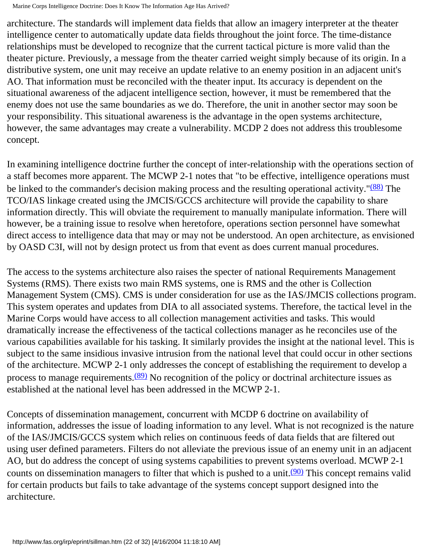architecture. The standards will implement data fields that allow an imagery interpreter at the theater intelligence center to automatically update data fields throughout the joint force. The time-distance relationships must be developed to recognize that the current tactical picture is more valid than the theater picture. Previously, a message from the theater carried weight simply because of its origin. In a distributive system, one unit may receive an update relative to an enemy position in an adjacent unit's AO. That information must be reconciled with the theater input. Its accuracy is dependent on the situational awareness of the adjacent intelligence section, however, it must be remembered that the enemy does not use the same boundaries as we do. Therefore, the unit in another sector may soon be your responsibility. This situational awareness is the advantage in the open systems architecture, however, the same advantages may create a vulnerability. MCDP 2 does not address this troublesome concept.

In examining intelligence doctrine further the concept of inter-relationship with the operations section of a staff becomes more apparent. The MCWP 2-1 notes that "to be effective, intelligence operations must be linked to the commander's decision making process and the resulting operational activity."<sup>(88)</sup> The TCO/IAS linkage created using the JMCIS/GCCS architecture will provide the capability to share information directly. This will obviate the requirement to manually manipulate information. There will however, be a training issue to resolve when heretofore, operations section personnel have somewhat direct access to intelligence data that may or may not be understood. An open architecture, as envisioned by OASD C3I, will not by design protect us from that event as does current manual procedures.

The access to the systems architecture also raises the specter of national Requirements Management Systems (RMS). There exists two main RMS systems, one is RMS and the other is Collection Management System (CMS). CMS is under consideration for use as the IAS/JMCIS collections program. This system operates and updates from DIA to all associated systems. Therefore, the tactical level in the Marine Corps would have access to all collection management activities and tasks. This would dramatically increase the effectiveness of the tactical collections manager as he reconciles use of the various capabilities available for his tasking. It similarly provides the insight at the national level. This is subject to the same insidious invasive intrusion from the national level that could occur in other sections of the architecture. MCWP 2-1 only addresses the concept of establishing the requirement to develop a process to manage requirements. $(89)$  No recognition of the policy or doctrinal architecture issues as established at the national level has been addressed in the MCWP 2-1.

Concepts of dissemination management, concurrent with MCDP 6 doctrine on availability of information, addresses the issue of loading information to any level. What is not recognized is the nature of the IAS/JMCIS/GCCS system which relies on continuous feeds of data fields that are filtered out using user defined parameters. Filters do not alleviate the previous issue of an enemy unit in an adjacent AO, but do address the concept of using systems capabilities to prevent systems overload. MCWP 2-1 counts on dissemination managers to filter that which is pushed to a unit.<sup>[\(90\)](#page-31-15)</sup> This concept remains valid for certain products but fails to take advantage of the systems concept support designed into the architecture.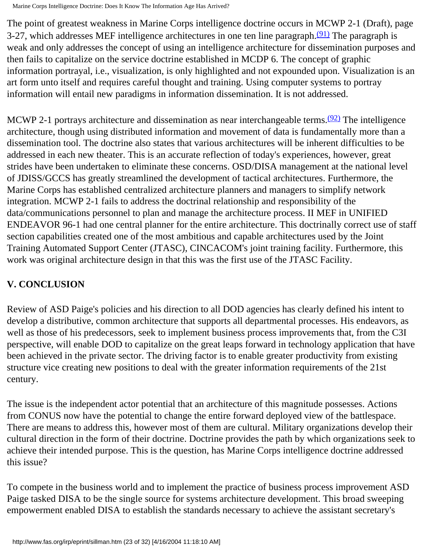The point of greatest weakness in Marine Corps intelligence doctrine occurs in MCWP 2-1 (Draft), page 3-27, which addresses MEF intelligence architectures in one ten line paragraph. $(91)$  The paragraph is weak and only addresses the concept of using an intelligence architecture for dissemination purposes and then fails to capitalize on the service doctrine established in MCDP 6. The concept of graphic information portrayal, i.e., visualization, is only highlighted and not expounded upon. Visualization is an art form unto itself and requires careful thought and training. Using computer systems to portray information will entail new paradigms in information dissemination. It is not addressed.

MCWP 2-1 portrays architecture and dissemination as near interchangeable terms.<sup>(92)</sup> The intelligence architecture, though using distributed information and movement of data is fundamentally more than a dissemination tool. The doctrine also states that various architectures will be inherent difficulties to be addressed in each new theater. This is an accurate reflection of today's experiences, however, great strides have been undertaken to eliminate these concerns. OSD/DISA management at the national level of JDISS/GCCS has greatly streamlined the development of tactical architectures. Furthermore, the Marine Corps has established centralized architecture planners and managers to simplify network integration. MCWP 2-1 fails to address the doctrinal relationship and responsibility of the data/communications personnel to plan and manage the architecture process. II MEF in UNIFIED ENDEAVOR 96-1 had one central planner for the entire architecture. This doctrinally correct use of staff section capabilities created one of the most ambitious and capable architectures used by the Joint Training Automated Support Center (JTASC), CINCACOM's joint training facility. Furthermore, this work was original architecture design in that this was the first use of the JTASC Facility.

# **V. CONCLUSION**

Review of ASD Paige's policies and his direction to all DOD agencies has clearly defined his intent to develop a distributive, common architecture that supports all departmental processes. His endeavors, as well as those of his predecessors, seek to implement business process improvements that, from the C3I perspective, will enable DOD to capitalize on the great leaps forward in technology application that have been achieved in the private sector. The driving factor is to enable greater productivity from existing structure vice creating new positions to deal with the greater information requirements of the 21st century.

The issue is the independent actor potential that an architecture of this magnitude possesses. Actions from CONUS now have the potential to change the entire forward deployed view of the battlespace. There are means to address this, however most of them are cultural. Military organizations develop their cultural direction in the form of their doctrine. Doctrine provides the path by which organizations seek to achieve their intended purpose. This is the question, has Marine Corps intelligence doctrine addressed this issue?

To compete in the business world and to implement the practice of business process improvement ASD Paige tasked DISA to be the single source for systems architecture development. This broad sweeping empowerment enabled DISA to establish the standards necessary to achieve the assistant secretary's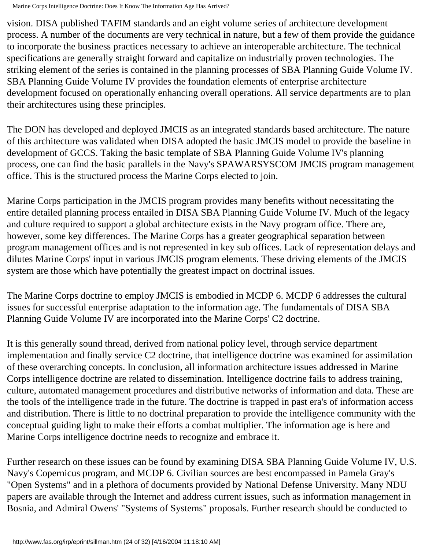vision. DISA published TAFIM standards and an eight volume series of architecture development process. A number of the documents are very technical in nature, but a few of them provide the guidance to incorporate the business practices necessary to achieve an interoperable architecture. The technical specifications are generally straight forward and capitalize on industrially proven technologies. The striking element of the series is contained in the planning processes of SBA Planning Guide Volume IV. SBA Planning Guide Volume IV provides the foundation elements of enterprise architecture development focused on operationally enhancing overall operations. All service departments are to plan their architectures using these principles.

The DON has developed and deployed JMCIS as an integrated standards based architecture. The nature of this architecture was validated when DISA adopted the basic JMCIS model to provide the baseline in development of GCCS. Taking the basic template of SBA Planning Guide Volume IV's planning process, one can find the basic parallels in the Navy's SPAWARSYSCOM JMCIS program management office. This is the structured process the Marine Corps elected to join.

Marine Corps participation in the JMCIS program provides many benefits without necessitating the entire detailed planning process entailed in DISA SBA Planning Guide Volume IV. Much of the legacy and culture required to support a global architecture exists in the Navy program office. There are, however, some key differences. The Marine Corps has a greater geographical separation between program management offices and is not represented in key sub offices. Lack of representation delays and dilutes Marine Corps' input in various JMCIS program elements. These driving elements of the JMCIS system are those which have potentially the greatest impact on doctrinal issues.

The Marine Corps doctrine to employ JMCIS is embodied in MCDP 6. MCDP 6 addresses the cultural issues for successful enterprise adaptation to the information age. The fundamentals of DISA SBA Planning Guide Volume IV are incorporated into the Marine Corps' C2 doctrine.

It is this generally sound thread, derived from national policy level, through service department implementation and finally service C2 doctrine, that intelligence doctrine was examined for assimilation of these overarching concepts. In conclusion, all information architecture issues addressed in Marine Corps intelligence doctrine are related to dissemination. Intelligence doctrine fails to address training, culture, automated management procedures and distributive networks of information and data. These are the tools of the intelligence trade in the future. The doctrine is trapped in past era's of information access and distribution. There is little to no doctrinal preparation to provide the intelligence community with the conceptual guiding light to make their efforts a combat multiplier. The information age is here and Marine Corps intelligence doctrine needs to recognize and embrace it.

Further research on these issues can be found by examining DISA SBA Planning Guide Volume IV, U.S. Navy's Copernicus program, and MCDP 6. Civilian sources are best encompassed in Pamela Gray's "Open Systems" and in a plethora of documents provided by National Defense University. Many NDU papers are available through the Internet and address current issues, such as information management in Bosnia, and Admiral Owens' "Systems of Systems" proposals. Further research should be conducted to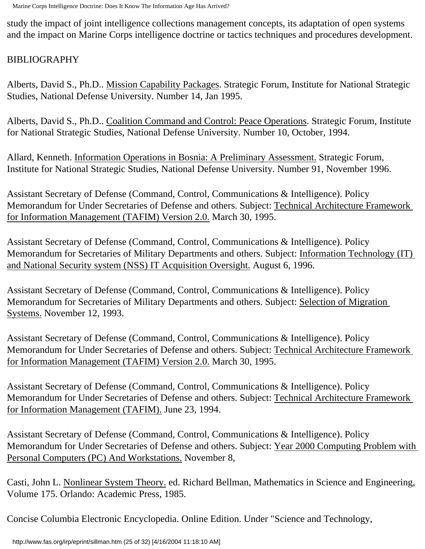study the impact of joint intelligence collections management concepts, its adaptation of open systems and the impact on Marine Corps intelligence doctrine or tactics techniques and procedures development.

# BIBLIOGRAPHY

Alberts, David S., Ph.D.. Mission Capability Packages. Strategic Forum, Institute for National Strategic Studies, National Defense University. Number 14, Jan 1995.

Alberts, David S., Ph.D.. Coalition Command and Control: Peace Operations. Strategic Forum, Institute for National Strategic Studies, National Defense University. Number 10, October, 1994.

Allard, Kenneth. Information Operations in Bosnia: A Preliminary Assessment. Strategic Forum, Institute for National Strategic Studies, National Defense University. Number 91, November 1996.

Assistant Secretary of Defense (Command, Control, Communications & Intelligence). Policy Memorandum for Under Secretaries of Defense and others. Subject: Technical Architecture Framework for Information Management (TAFIM) Version 2.0. March 30, 1995.

Assistant Secretary of Defense (Command, Control, Communications & Intelligence). Policy Memorandum for Secretaries of Military Departments and others. Subject: Information Technology (IT) and National Security system (NSS) IT Acquisition Oversight. August 6, 1996.

Assistant Secretary of Defense (Command, Control, Communications & Intelligence). Policy Memorandum for Secretaries of Military Departments and others. Subject: Selection of Migration Systems. November 12, 1993.

Assistant Secretary of Defense (Command, Control, Communications & Intelligence). Policy Memorandum for Under Secretaries of Defense and others. Subject: Technical Architecture Framework for Information Management (TAFIM) Version 2.0. March 30, 1995.

Assistant Secretary of Defense (Command, Control, Communications & Intelligence). Policy Memorandum for Under Secretaries of Defense and others. Subject: Technical Architecture Framework for Information Management (TAFIM). June 23, 1994.

Assistant Secretary of Defense (Command, Control, Communications & Intelligence). Policy Memorandum for Under Secretaries of Defense and others. Subject: Year 2000 Computing Problem with Personal Computers (PC) And Workstations. November 8,

Casti, John L. Nonlinear System Theory. ed. Richard Bellman, Mathematics in Science and Engineering, Volume 175. Orlando: Academic Press, 1985.

Concise Columbia Electronic Encyclopedia. Online Edition. Under "Science and Technology,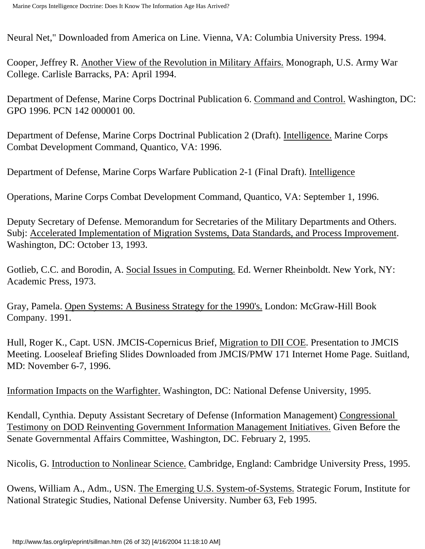Neural Net," Downloaded from America on Line. Vienna, VA: Columbia University Press. 1994.

Cooper, Jeffrey R. Another View of the Revolution in Military Affairs. Monograph, U.S. Army War College. Carlisle Barracks, PA: April 1994.

Department of Defense, Marine Corps Doctrinal Publication 6. Command and Control. Washington, DC: GPO 1996. PCN 142 000001 00.

Department of Defense, Marine Corps Doctrinal Publication 2 (Draft). Intelligence. Marine Corps Combat Development Command, Quantico, VA: 1996.

Department of Defense, Marine Corps Warfare Publication 2-1 (Final Draft). Intelligence

Operations, Marine Corps Combat Development Command, Quantico, VA: September 1, 1996.

Deputy Secretary of Defense. Memorandum for Secretaries of the Military Departments and Others. Subj: Accelerated Implementation of Migration Systems, Data Standards, and Process Improvement. Washington, DC: October 13, 1993.

Gotlieb, C.C. and Borodin, A. Social Issues in Computing. Ed. Werner Rheinboldt. New York, NY: Academic Press, 1973.

Gray, Pamela. Open Systems: A Business Strategy for the 1990's. London: McGraw-Hill Book Company. 1991.

Hull, Roger K., Capt. USN. JMCIS-Copernicus Brief, Migration to DII COE. Presentation to JMCIS Meeting. Looseleaf Briefing Slides Downloaded from JMCIS/PMW 171 Internet Home Page. Suitland, MD: November 6-7, 1996.

Information Impacts on the Warfighter. Washington, DC: National Defense University, 1995.

Kendall, Cynthia. Deputy Assistant Secretary of Defense (Information Management) Congressional Testimony on DOD Reinventing Government Information Management Initiatives. Given Before the Senate Governmental Affairs Committee, Washington, DC. February 2, 1995.

Nicolis, G. Introduction to Nonlinear Science. Cambridge, England: Cambridge University Press, 1995.

Owens, William A., Adm., USN. The Emerging U.S. System-of-Systems. Strategic Forum, Institute for National Strategic Studies, National Defense University. Number 63, Feb 1995.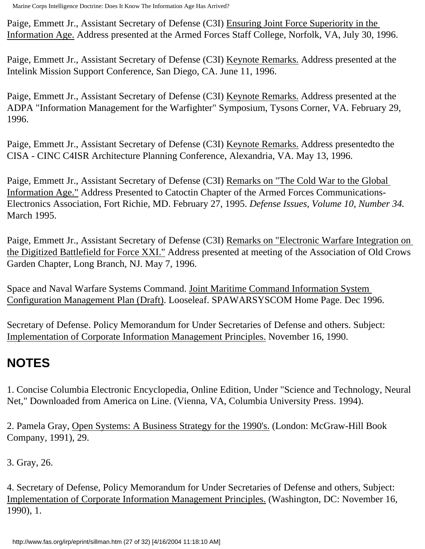Paige, Emmett Jr., Assistant Secretary of Defense (C3I) Ensuring Joint Force Superiority in the Information Age. Address presented at the Armed Forces Staff College, Norfolk, VA, July 30, 1996.

Paige, Emmett Jr., Assistant Secretary of Defense (C3I) Keynote Remarks. Address presented at the Intelink Mission Support Conference, San Diego, CA. June 11, 1996.

Paige, Emmett Jr., Assistant Secretary of Defense (C3I) Keynote Remarks. Address presented at the ADPA "Information Management for the Warfighter" Symposium, Tysons Corner, VA. February 29, 1996.

Paige, Emmett Jr., Assistant Secretary of Defense (C3I) Keynote Remarks. Address presentedto the CISA - CINC C4ISR Architecture Planning Conference, Alexandria, VA. May 13, 1996.

Paige, Emmett Jr., Assistant Secretary of Defense (C3I) Remarks on "The Cold War to the Global Information Age." Address Presented to Catoctin Chapter of the Armed Forces Communications-Electronics Association, Fort Richie, MD. February 27, 1995. *Defense Issues, Volume 10, Number 34.* March 1995.

Paige, Emmett Jr., Assistant Secretary of Defense (C3I) Remarks on "Electronic Warfare Integration on the Digitized Battlefield for Force XXI." Address presented at meeting of the Association of Old Crows Garden Chapter, Long Branch, NJ. May 7, 1996.

Space and Naval Warfare Systems Command. Joint Maritime Command Information System Configuration Management Plan (Draft). Looseleaf. SPAWARSYSCOM Home Page. Dec 1996.

Secretary of Defense. Policy Memorandum for Under Secretaries of Defense and others. Subject: Implementation of Corporate Information Management Principles. November 16, 1990.

# <span id="page-26-0"></span>**NOTES**

1. Concise Columbia Electronic Encyclopedia, Online Edition, Under "Science and Technology, Neural Net," Downloaded from America on Line. (Vienna, VA, Columbia University Press. 1994).

<span id="page-26-1"></span>2. Pamela Gray, Open Systems: A Business Strategy for the 1990's. (London: McGraw-Hill Book Company, 1991), 29.

<span id="page-26-3"></span><span id="page-26-2"></span>3. Gray, 26.

<span id="page-26-4"></span>4. Secretary of Defense, Policy Memorandum for Under Secretaries of Defense and others, Subject: Implementation of Corporate Information Management Principles. (Washington, DC: November 16, 1990), 1.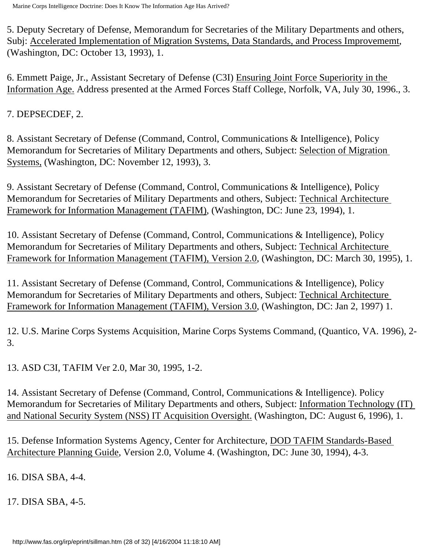5. Deputy Secretary of Defense, Memorandum for Secretaries of the Military Departments and others, Subj: Accelerated Implementation of Migration Systems, Data Standards, and Process Improvememt, (Washington, DC: October 13, 1993), 1.

<span id="page-27-0"></span>6. Emmett Paige, Jr., Assistant Secretary of Defense (C3I) Ensuring Joint Force Superiority in the Information Age. Address presented at the Armed Forces Staff College, Norfolk, VA, July 30, 1996., 3.

<span id="page-27-2"></span><span id="page-27-1"></span>7. DEPSECDEF, 2.

8. Assistant Secretary of Defense (Command, Control, Communications & Intelligence), Policy Memorandum for Secretaries of Military Departments and others, Subject: Selection of Migration Systems, (Washington, DC: November 12, 1993), 3.

<span id="page-27-3"></span>9. Assistant Secretary of Defense (Command, Control, Communications & Intelligence), Policy Memorandum for Secretaries of Military Departments and others, Subject: Technical Architecture Framework for Information Management (TAFIM), (Washington, DC: June 23, 1994), 1.

<span id="page-27-4"></span>10. Assistant Secretary of Defense (Command, Control, Communications & Intelligence), Policy Memorandum for Secretaries of Military Departments and others, Subject: Technical Architecture Framework for Information Management (TAFIM), Version 2.0, (Washington, DC: March 30, 1995), 1.

<span id="page-27-5"></span>11. Assistant Secretary of Defense (Command, Control, Communications & Intelligence), Policy Memorandum for Secretaries of Military Departments and others, Subject: Technical Architecture Framework for Information Management (TAFIM), Version 3.0, (Washington, DC: Jan 2, 1997) 1.

<span id="page-27-6"></span>12. U.S. Marine Corps Systems Acquisition, Marine Corps Systems Command, (Quantico, VA. 1996), 2- 3.

<span id="page-27-8"></span><span id="page-27-7"></span>13. ASD C3I, TAFIM Ver 2.0, Mar 30, 1995, 1-2.

14. Assistant Secretary of Defense (Command, Control, Communications & Intelligence). Policy Memorandum for Secretaries of Military Departments and others, Subject: Information Technology (IT) and National Security System (NSS) IT Acquisition Oversight. (Washington, DC: August 6, 1996), 1.

<span id="page-27-9"></span>15. Defense Information Systems Agency, Center for Architecture, DOD TAFIM Standards-Based Architecture Planning Guide, Version 2.0, Volume 4. (Washington, DC: June 30, 1994), 4-3.

<span id="page-27-11"></span><span id="page-27-10"></span>16. DISA SBA, 4-4.

<span id="page-27-12"></span>17. DISA SBA, 4-5.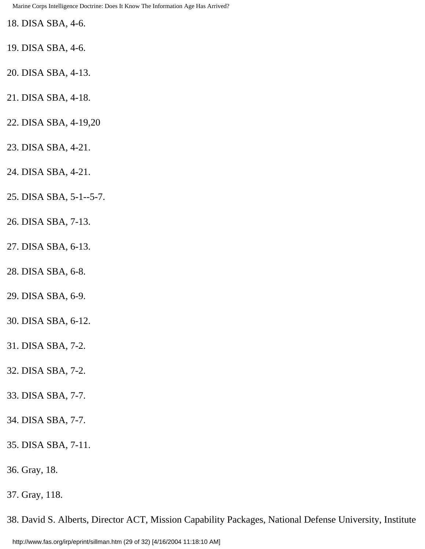<span id="page-28-0"></span>18. DISA SBA, 4-6.

- <span id="page-28-1"></span>19. DISA SBA, 4-6.
- <span id="page-28-2"></span>20. DISA SBA, 4-13.
- <span id="page-28-3"></span>21. DISA SBA, 4-18.
- <span id="page-28-4"></span>22. DISA SBA, 4-19,20
- <span id="page-28-5"></span>23. DISA SBA, 4-21.
- <span id="page-28-6"></span>24. DISA SBA, 4-21.
- <span id="page-28-7"></span>25. DISA SBA, 5-1--5-7.
- <span id="page-28-8"></span>26. DISA SBA, 7-13.
- <span id="page-28-9"></span>27. DISA SBA, 6-13.
- <span id="page-28-10"></span>28. DISA SBA, 6-8.
- <span id="page-28-11"></span>29. DISA SBA, 6-9.
- <span id="page-28-12"></span>30. DISA SBA, 6-12.
- <span id="page-28-13"></span>31. DISA SBA, 7-2.
- <span id="page-28-14"></span>32. DISA SBA, 7-2.
- <span id="page-28-15"></span>33. DISA SBA, 7-7.
- <span id="page-28-16"></span>34. DISA SBA, 7-7.
- <span id="page-28-17"></span>35. DISA SBA, 7-11.
- <span id="page-28-18"></span>36. Gray, 18.
- <span id="page-28-19"></span>37. Gray, 118.

38. David S. Alberts, Director ACT, Mission Capability Packages, National Defense University, Institute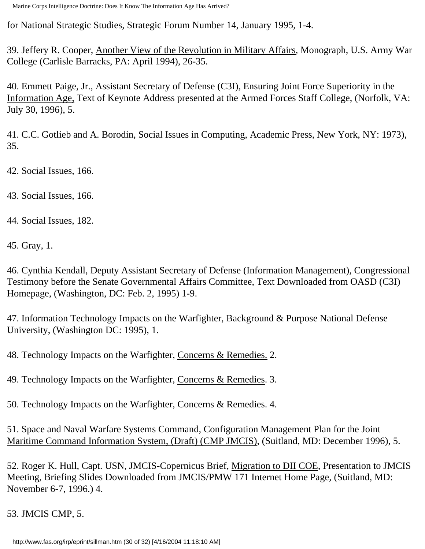<span id="page-29-0"></span>for National Strategic Studies, Strategic Forum Number 14, January 1995, 1-4.

39. Jeffery R. Cooper, Another View of the Revolution in Military Affairs, Monograph, U.S. Army War College (Carlisle Barracks, PA: April 1994), 26-35.

<span id="page-29-1"></span>40. Emmett Paige, Jr., Assistant Secretary of Defense (C3I), Ensuring Joint Force Superiority in the Information Age, Text of Keynote Address presented at the Armed Forces Staff College, (Norfolk, VA: July 30, 1996), 5.

<span id="page-29-2"></span>41. C.C. Gotlieb and A. Borodin, Social Issues in Computing, Academic Press, New York, NY: 1973), 35.

<span id="page-29-4"></span><span id="page-29-3"></span>42. Social Issues, 166.

<span id="page-29-5"></span>43. Social Issues, 166.

<span id="page-29-6"></span>44. Social Issues, 182.

<span id="page-29-7"></span>45. Gray, 1.

46. Cynthia Kendall, Deputy Assistant Secretary of Defense (Information Management), Congressional Testimony before the Senate Governmental Affairs Committee, Text Downloaded from OASD (C3I) Homepage, (Washington, DC: Feb. 2, 1995) 1-9.

<span id="page-29-8"></span>47. Information Technology Impacts on the Warfighter, Background & Purpose National Defense University, (Washington DC: 1995), 1.

<span id="page-29-10"></span><span id="page-29-9"></span>48. Technology Impacts on the Warfighter, Concerns & Remedies. 2.

<span id="page-29-11"></span>49. Technology Impacts on the Warfighter, Concerns & Remedies. 3.

<span id="page-29-12"></span>50. Technology Impacts on the Warfighter, Concerns & Remedies. 4.

51. Space and Naval Warfare Systems Command, Configuration Management Plan for the Joint Maritime Command Information System, (Draft) (CMP JMCIS), (Suitland, MD: December 1996), 5.

<span id="page-29-13"></span>52. Roger K. Hull, Capt. USN, JMCIS-Copernicus Brief, Migration to DII COE, Presentation to JMCIS Meeting, Briefing Slides Downloaded from JMCIS/PMW 171 Internet Home Page, (Suitland, MD: November 6-7, 1996.) 4.

<span id="page-29-15"></span><span id="page-29-14"></span>53. JMCIS CMP, 5.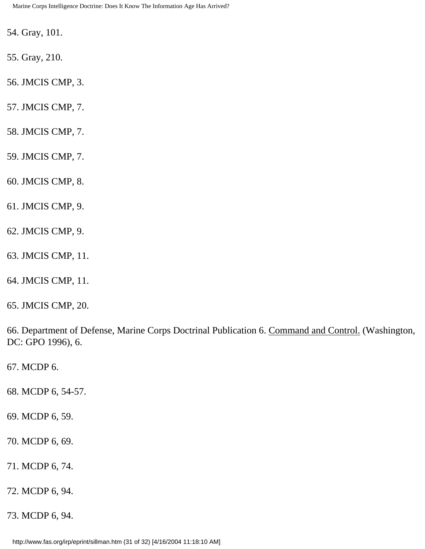<span id="page-30-0"></span>54. Gray, 101.

<span id="page-30-1"></span>55. Gray, 210.

<span id="page-30-2"></span>56. JMCIS CMP, 3.

<span id="page-30-3"></span>57. JMCIS CMP, 7.

<span id="page-30-4"></span>58. JMCIS CMP, 7.

<span id="page-30-5"></span>59. JMCIS CMP, 7.

<span id="page-30-6"></span>60. JMCIS CMP, 8.

<span id="page-30-7"></span>61. JMCIS CMP, 9.

- <span id="page-30-8"></span>62. JMCIS CMP, 9.
- <span id="page-30-9"></span>63. JMCIS CMP, 11.
- <span id="page-30-10"></span>64. JMCIS CMP, 11.
- <span id="page-30-11"></span>65. JMCIS CMP, 20.

66. Department of Defense, Marine Corps Doctrinal Publication 6. Command and Control. (Washington, DC: GPO 1996), 6.

<span id="page-30-13"></span><span id="page-30-12"></span>67. MCDP 6.

<span id="page-30-14"></span>68. MCDP 6, 54-57.

<span id="page-30-15"></span>69. MCDP 6, 59.

<span id="page-30-16"></span>70. MCDP 6, 69.

<span id="page-30-17"></span>71. MCDP 6, 74.

<span id="page-30-18"></span>72. MCDP 6, 94.

<span id="page-30-19"></span>73. MCDP 6, 94.